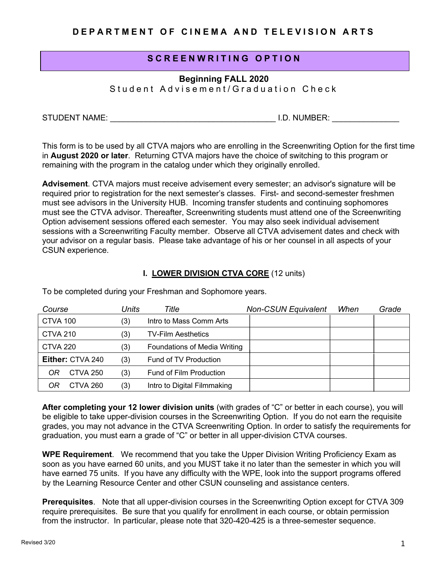# **SCREENWRITING OPTION**

**Beginning FALL 2020**

Student Advisement/Graduation Check

STUDENT NAME: \_\_\_\_\_\_\_\_\_\_\_\_\_\_\_\_\_\_\_\_\_\_\_\_\_\_\_\_\_\_\_\_\_\_\_\_\_ I.D. NUMBER: \_\_\_\_\_\_\_\_\_\_\_\_\_\_\_

This form is to be used by all CTVA majors who are enrolling in the Screenwriting Option for the first time in **August 2020 or later**. Returning CTVA majors have the choice of switching to this program or remaining with the program in the catalog under which they originally enrolled.

**Advisement**. CTVA majors must receive advisement every semester; an advisor's signature will be required prior to registration for the next semester's classes. First- and second-semester freshmen must see advisors in the University HUB. Incoming transfer students and continuing sophomores must see the CTVA advisor. Thereafter, Screenwriting students must attend one of the Screenwriting Option advisement sessions offered each semester. You may also seek individual advisement sessions with a Screenwriting Faculty member. Observe all CTVA advisement dates and check with your advisor on a regular basis. Please take advantage of his or her counsel in all aspects of your CSUN experience.

# **I. LOWER DIVISION CTVA CORE** (12 units)

| Course           |                 | Units | Title                               | <b>Non-CSUN Equivalent</b> | When | Grade |
|------------------|-----------------|-------|-------------------------------------|----------------------------|------|-------|
| CTVA 100         |                 | (3)   | Intro to Mass Comm Arts             |                            |      |       |
| <b>CTVA 210</b>  |                 | (3)   | <b>TV-Film Aesthetics</b>           |                            |      |       |
| <b>CTVA 220</b>  |                 | (3)   | <b>Foundations of Media Writing</b> |                            |      |       |
| Either: CTVA 240 |                 | (3)   | Fund of TV Production               |                            |      |       |
| OR               | <b>CTVA 250</b> | (3)   | Fund of Film Production             |                            |      |       |
|                  | CTVA 260        | (3)   | Intro to Digital Filmmaking         |                            |      |       |

To be completed during your Freshman and Sophomore years.

**After completing your 12 lower division units** (with grades of "C" or better in each course), you will be eligible to take upper-division courses in the Screenwriting Option. If you do not earn the requisite grades, you may not advance in the CTVA Screenwriting Option. In order to satisfy the requirements for graduation, you must earn a grade of "C" or better in all upper-division CTVA courses.

**WPE Requirement**. We recommend that you take the Upper Division Writing Proficiency Exam as soon as you have earned 60 units, and you MUST take it no later than the semester in which you will have earned 75 units. If you have any difficulty with the WPE, look into the support programs offered by the Learning Resource Center and other CSUN counseling and assistance centers.

**Prerequisites**. Note that all upper-division courses in the Screenwriting Option except for CTVA 309 require prerequisites. Be sure that you qualify for enrollment in each course, or obtain permission from the instructor. In particular, please note that 320-420-425 is a three-semester sequence.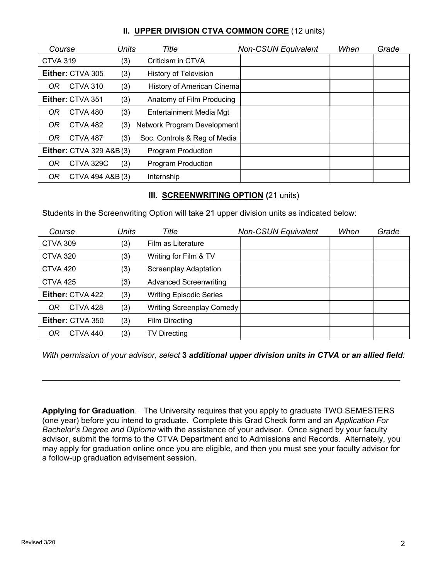# **II. UPPER DIVISION CTVA COMMON CORE** (12 units)

| Course          |                                    | Units | Title                        | <b>Non-CSUN Equivalent</b> | When | Grade |
|-----------------|------------------------------------|-------|------------------------------|----------------------------|------|-------|
| <b>CTVA 319</b> |                                    | (3)   | Criticism in CTVA            |                            |      |       |
|                 | Either: CTVA 305                   | (3)   | <b>History of Television</b> |                            |      |       |
| OR.             | <b>CTVA 310</b>                    | (3)   | History of American Cinemal  |                            |      |       |
|                 | Either: CTVA 351                   | (3)   | Anatomy of Film Producing    |                            |      |       |
| OR              | CTVA 480                           | (3)   | Entertainment Media Mgt      |                            |      |       |
| OR.             | <b>CTVA 482</b>                    | (3)   | Network Program Development  |                            |      |       |
| OR.             | <b>CTVA 487</b>                    | (3)   | Soc. Controls & Reg of Media |                            |      |       |
|                 | <b>Either: CTVA 329 A&amp;B(3)</b> |       | <b>Program Production</b>    |                            |      |       |
| OR              | CTVA 329C                          | (3)   | <b>Program Production</b>    |                            |      |       |
| OR              | CTVA 494 A&B (3)                   |       | Internship                   |                            |      |       |

# **III. SCREENWRITING OPTION (**21 units)

Students in the Screenwriting Option will take 21 upper division units as indicated below:

| Course                  | Units | Title                          | <b>Non-CSUN Equivalent</b> | When | Grade |
|-------------------------|-------|--------------------------------|----------------------------|------|-------|
| <b>CTVA 309</b>         | (3)   | Film as Literature             |                            |      |       |
| <b>CTVA 320</b>         | (3)   | Writing for Film & TV          |                            |      |       |
| <b>CTVA 420</b>         | (3)   | Screenplay Adaptation          |                            |      |       |
| <b>CTVA 425</b>         | (3)   | <b>Advanced Screenwriting</b>  |                            |      |       |
| Either: CTVA 422        | (3)   | <b>Writing Episodic Series</b> |                            |      |       |
| CTVA 428<br>0R          | (3)   | Writing Screenplay Comedy      |                            |      |       |
| <b>Either: CTVA 350</b> | (3)   | Film Directing                 |                            |      |       |
| CTVA 440<br>OR          | (3)   | <b>TV Directing</b>            |                            |      |       |

*With permission of your advisor, select* **3** *additional upper division units in CTVA or an allied field:*

 $\_$ 

**Applying for Graduation**. The University requires that you apply to graduate TWO SEMESTERS (one year) before you intend to graduate. Complete this Grad Check form and an *Application For Bachelor's Degree and Diploma* with the assistance of your advisor. Once signed by your faculty advisor, submit the forms to the CTVA Department and to Admissions and Records. Alternately, you may apply for graduation online once you are eligible, and then you must see your faculty advisor for a follow-up graduation advisement session.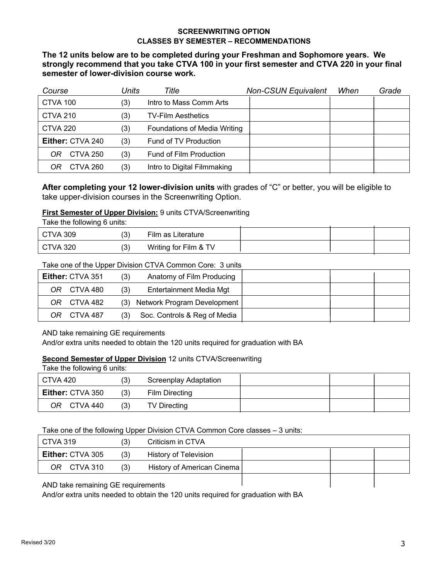# **SCREENWRITING OPTION CLASSES BY SEMESTER – RECOMMENDATIONS**

**The 12 units below are to be completed during your Freshman and Sophomore years. We strongly recommend that you take CTVA 100 in your first semester and CTVA 220 in your final semester of lower-division course work.**

| Course                | Units | Title                               | <b>Non-CSUN Equivalent</b> | When | Grade |
|-----------------------|-------|-------------------------------------|----------------------------|------|-------|
| CTVA 100              | (3)   | Intro to Mass Comm Arts             |                            |      |       |
| <b>CTVA 210</b>       | (3)   | <b>TV-Film Aesthetics</b>           |                            |      |       |
| <b>CTVA 220</b>       | (3)   | <b>Foundations of Media Writing</b> |                            |      |       |
| Either: CTVA 240      | (3)   | Fund of TV Production               |                            |      |       |
| <b>CTVA 250</b><br>OR | (3)   | Fund of Film Production             |                            |      |       |
| CTVA 260              | (3)   | Intro to Digital Filmmaking         |                            |      |       |

**After completing your 12 lower-division units** with grades of "C" or better, you will be eligible to take upper-division courses in the Screenwriting Option.

# **First Semester of Upper Division:** 9 units CTVA/Screenwriting

Take the following 6 units:

| <b>CTVA 309</b> | U   | Film as Literature    |  |  |
|-----------------|-----|-----------------------|--|--|
| <b>CTVA 320</b> | ιU. | Writing for Film & TV |  |  |

# Take one of the Upper Division CTVA Common Core: 3 units

| <b>Either: CTVA 351</b> | (3) | Anatomy of Film Producing       |  |  |
|-------------------------|-----|---------------------------------|--|--|
| OR CTVA 480             | (3) | Entertainment Media Mgt         |  |  |
| OR CTVA 482             |     | (3) Network Program Development |  |  |
| OR CTVA 487             | (3) | Soc. Controls & Reg of Media    |  |  |

#### AND take remaining GE requirements

And/or extra units needed to obtain the 120 units required for graduation with BA

### **Second Semester of Upper Division** 12 units CTVA/Screenwriting

| Take the following 6 units: |     |                       |  |  |  |  |  |  |  |
|-----------------------------|-----|-----------------------|--|--|--|--|--|--|--|
| CTVA 420                    | (3) | Screenplay Adaptation |  |  |  |  |  |  |  |
| <b>Either:</b> CTVA 350     | (3) | Film Directing        |  |  |  |  |  |  |  |
| CTVA 440<br>OR.             | (3) | <b>TV Directing</b>   |  |  |  |  |  |  |  |

Take one of the following Upper Division CTVA Common Core classes – 3 units:

| CTVA 319                           | (3) | Criticism in CTVA          |  |  |
|------------------------------------|-----|----------------------------|--|--|
| <b>Either: CTVA 305</b>            | (3) | History of Television      |  |  |
| OR CTVA 310                        | (3) | History of American Cinema |  |  |
| AND take remaining GE requirements |     |                            |  |  |

#### AND take remaining GE requirements

And/or extra units needed to obtain the 120 units required for graduation with BA